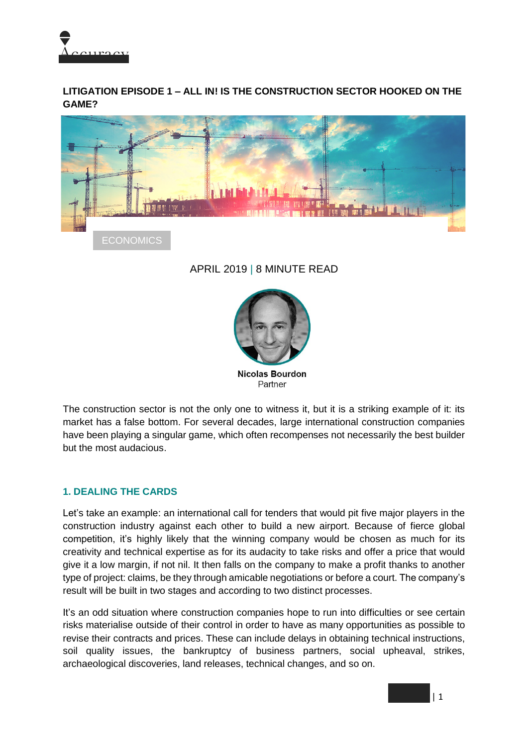

**LITIGATION EPISODE 1 – ALL IN! IS THE CONSTRUCTION SECTOR HOOKED ON THE GAME?**



# APRIL 2019 | 8 MINUTE READ



The construction sector is not the only one to witness it, but it is a striking example of it: its market has a false bottom. For several decades, large international construction companies have been playing a singular game, which often recompenses not necessarily the best builder but the most audacious.

#### **1. DEALING THE CARDS**

Let's take an example: an international call for tenders that would pit five major players in the construction industry against each other to build a new airport. Because of fierce global competition, it's highly likely that the winning company would be chosen as much for its creativity and technical expertise as for its audacity to take risks and offer a price that would give it a low margin, if not nil. It then falls on the company to make a profit thanks to another type of project: claims, be they through amicable negotiations or before a court. The company's result will be built in two stages and according to two distinct processes.

It's an odd situation where construction companies hope to run into difficulties or see certain risks materialise outside of their control in order to have as many opportunities as possible to revise their contracts and prices. These can include delays in obtaining technical instructions, soil quality issues, the bankruptcy of business partners, social upheaval, strikes, archaeological discoveries, land releases, technical changes, and so on.

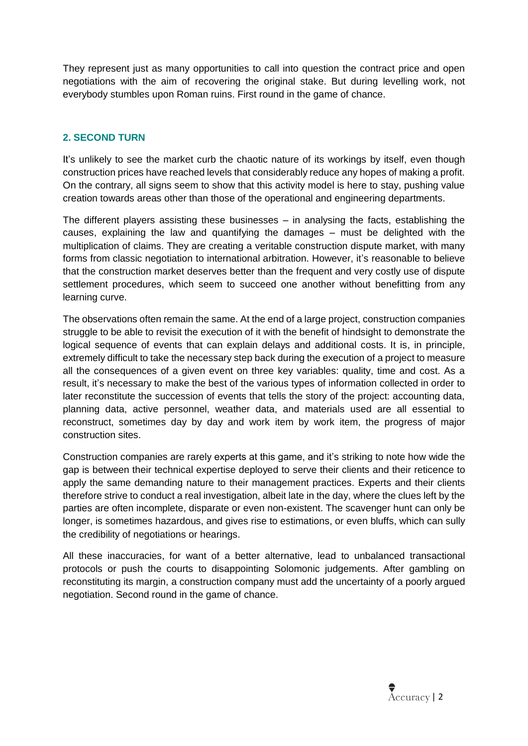They represent just as many opportunities to call into question the contract price and open negotiations with the aim of recovering the original stake. But during levelling work, not everybody stumbles upon Roman ruins. First round in the game of chance.

# **2. SECOND TURN**

It's unlikely to see the market curb the chaotic nature of its workings by itself, even though construction prices have reached levels that considerably reduce any hopes of making a profit. On the contrary, all signs seem to show that this activity model is here to stay, pushing value creation towards areas other than those of the operational and engineering departments.

The different players assisting these businesses – in analysing the facts, establishing the causes, explaining the law and quantifying the damages – must be delighted with the multiplication of claims. They are creating a veritable construction dispute market, with many forms from classic negotiation to international arbitration. However, it's reasonable to believe that the construction market deserves better than the frequent and very costly use of dispute settlement procedures, which seem to succeed one another without benefitting from any learning curve.

The observations often remain the same. At the end of a large project, construction companies struggle to be able to revisit the execution of it with the benefit of hindsight to demonstrate the logical sequence of events that can explain delays and additional costs. It is, in principle, extremely difficult to take the necessary step back during the execution of a project to measure all the consequences of a given event on three key variables: quality, time and cost. As a result, it's necessary to make the best of the various types of information collected in order to later reconstitute the succession of events that tells the story of the project: accounting data, planning data, active personnel, weather data, and materials used are all essential to reconstruct, sometimes day by day and work item by work item, the progress of major construction sites.

Construction companies are rarely experts at this game, and it's striking to note how wide the gap is between their technical expertise deployed to serve their clients and their reticence to apply the same demanding nature to their management practices. Experts and their clients therefore strive to conduct a real investigation, albeit late in the day, where the clues left by the parties are often incomplete, disparate or even non-existent. The scavenger hunt can only be longer, is sometimes hazardous, and gives rise to estimations, or even bluffs, which can sully the credibility of negotiations or hearings.

All these inaccuracies, for want of a better alternative, lead to unbalanced transactional protocols or push the courts to disappointing Solomonic judgements. After gambling on reconstituting its margin, a construction company must add the uncertainty of a poorly argued negotiation. Second round in the game of chance.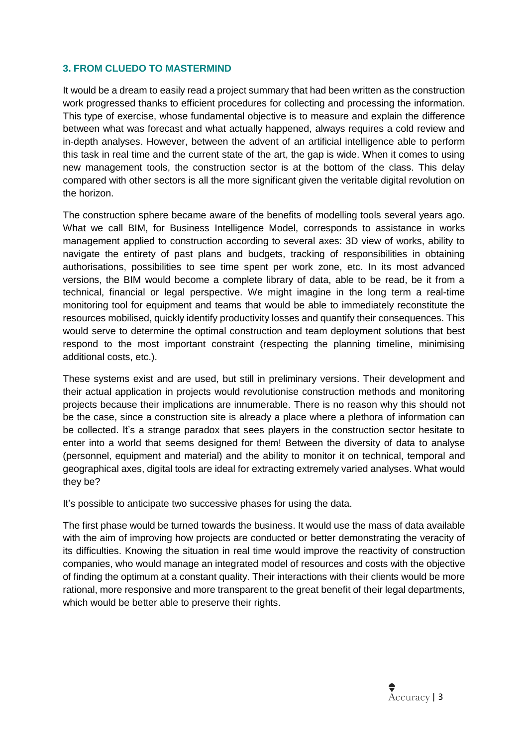### **3. FROM CLUEDO TO MASTERMIND**

It would be a dream to easily read a project summary that had been written as the construction work progressed thanks to efficient procedures for collecting and processing the information. This type of exercise, whose fundamental objective is to measure and explain the difference between what was forecast and what actually happened, always requires a cold review and in-depth analyses. However, between the advent of an artificial intelligence able to perform this task in real time and the current state of the art, the gap is wide. When it comes to using new management tools, the construction sector is at the bottom of the class. This delay compared with other sectors is all the more significant given the veritable digital revolution on the horizon.

The construction sphere became aware of the benefits of modelling tools several years ago. What we call BIM, for Business Intelligence Model, corresponds to assistance in works management applied to construction according to several axes: 3D view of works, ability to navigate the entirety of past plans and budgets, tracking of responsibilities in obtaining authorisations, possibilities to see time spent per work zone, etc. In its most advanced versions, the BIM would become a complete library of data, able to be read, be it from a technical, financial or legal perspective. We might imagine in the long term a real-time monitoring tool for equipment and teams that would be able to immediately reconstitute the resources mobilised, quickly identify productivity losses and quantify their consequences. This would serve to determine the optimal construction and team deployment solutions that best respond to the most important constraint (respecting the planning timeline, minimising additional costs, etc.).

These systems exist and are used, but still in preliminary versions. Their development and their actual application in projects would revolutionise construction methods and monitoring projects because their implications are innumerable. There is no reason why this should not be the case, since a construction site is already a place where a plethora of information can be collected. It's a strange paradox that sees players in the construction sector hesitate to enter into a world that seems designed for them! Between the diversity of data to analyse (personnel, equipment and material) and the ability to monitor it on technical, temporal and geographical axes, digital tools are ideal for extracting extremely varied analyses. What would they be?

It's possible to anticipate two successive phases for using the data.

The first phase would be turned towards the business. It would use the mass of data available with the aim of improving how projects are conducted or better demonstrating the veracity of its difficulties. Knowing the situation in real time would improve the reactivity of construction companies, who would manage an integrated model of resources and costs with the objective of finding the optimum at a constant quality. Their interactions with their clients would be more rational, more responsive and more transparent to the great benefit of their legal departments, which would be better able to preserve their rights.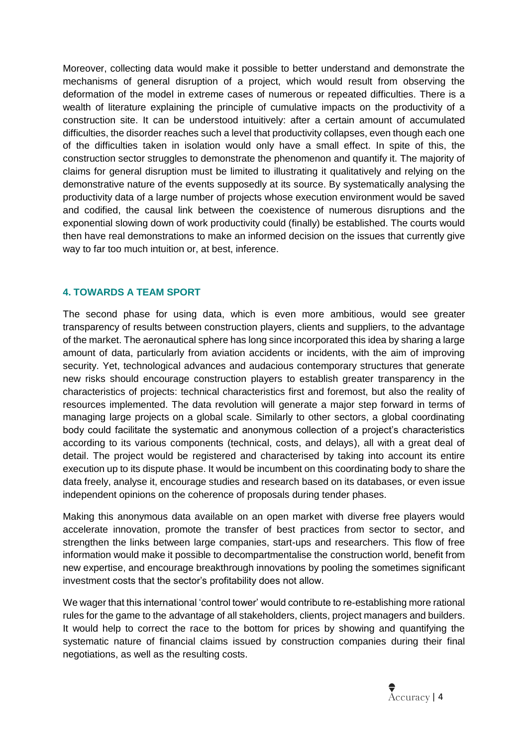Moreover, collecting data would make it possible to better understand and demonstrate the mechanisms of general disruption of a project, which would result from observing the deformation of the model in extreme cases of numerous or repeated difficulties. There is a wealth of literature explaining the principle of cumulative impacts on the productivity of a construction site. It can be understood intuitively: after a certain amount of accumulated difficulties, the disorder reaches such a level that productivity collapses, even though each one of the difficulties taken in isolation would only have a small effect. In spite of this, the construction sector struggles to demonstrate the phenomenon and quantify it. The majority of claims for general disruption must be limited to illustrating it qualitatively and relying on the demonstrative nature of the events supposedly at its source. By systematically analysing the productivity data of a large number of projects whose execution environment would be saved and codified, the causal link between the coexistence of numerous disruptions and the exponential slowing down of work productivity could (finally) be established. The courts would then have real demonstrations to make an informed decision on the issues that currently give way to far too much intuition or, at best, inference.

## **4. TOWARDS A TEAM SPORT**

The second phase for using data, which is even more ambitious, would see greater transparency of results between construction players, clients and suppliers, to the advantage of the market. The aeronautical sphere has long since incorporated this idea by sharing a large amount of data, particularly from aviation accidents or incidents, with the aim of improving security. Yet, technological advances and audacious contemporary structures that generate new risks should encourage construction players to establish greater transparency in the characteristics of projects: technical characteristics first and foremost, but also the reality of resources implemented. The data revolution will generate a major step forward in terms of managing large projects on a global scale. Similarly to other sectors, a global coordinating body could facilitate the systematic and anonymous collection of a project's characteristics according to its various components (technical, costs, and delays), all with a great deal of detail. The project would be registered and characterised by taking into account its entire execution up to its dispute phase. It would be incumbent on this coordinating body to share the data freely, analyse it, encourage studies and research based on its databases, or even issue independent opinions on the coherence of proposals during tender phases.

Making this anonymous data available on an open market with diverse free players would accelerate innovation, promote the transfer of best practices from sector to sector, and strengthen the links between large companies, start-ups and researchers. This flow of free information would make it possible to decompartmentalise the construction world, benefit from new expertise, and encourage breakthrough innovations by pooling the sometimes significant investment costs that the sector's profitability does not allow.

We wager that this international 'control tower' would contribute to re-establishing more rational rules for the game to the advantage of all stakeholders, clients, project managers and builders. It would help to correct the race to the bottom for prices by showing and quantifying the systematic nature of financial claims issued by construction companies during their final negotiations, as well as the resulting costs.